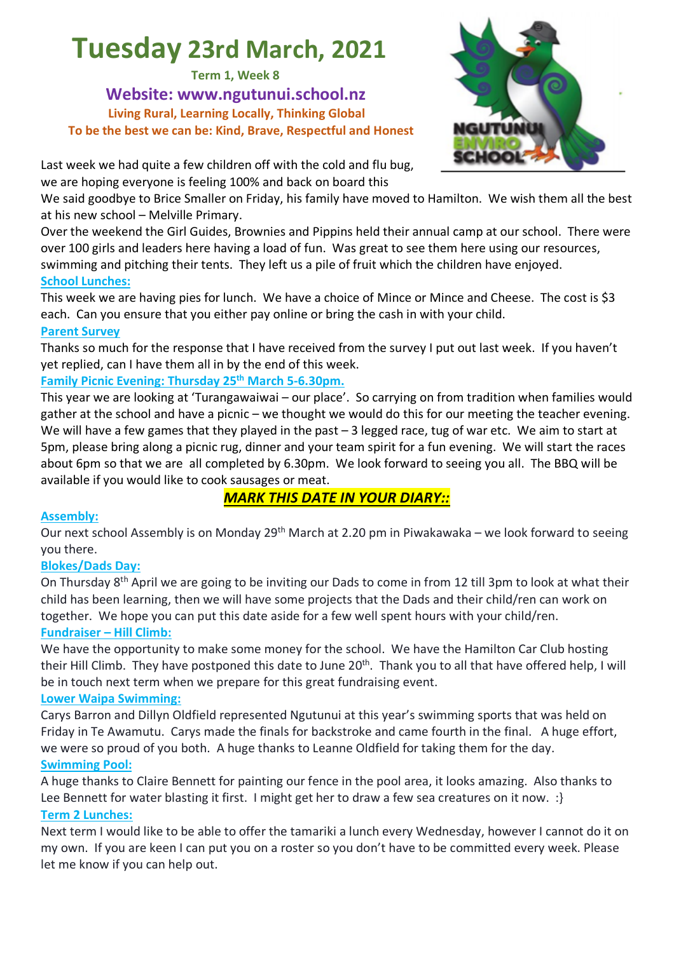# **Tuesday 23rd March, 2021**

**Term 1, Week 8**

**Website: www.ngutunui.school.nz Living Rural, Learning Locally, Thinking Global To be the best we can be: Kind, Brave, Respectful and Honest**



Last week we had quite a few children off with the cold and flu bug, we are hoping everyone is feeling 100% and back on board this

We said goodbye to Brice Smaller on Friday, his family have moved to Hamilton. We wish them all the best at his new school – Melville Primary.

Over the weekend the Girl Guides, Brownies and Pippins held their annual camp at our school. There were over 100 girls and leaders here having a load of fun. Was great to see them here using our resources, swimming and pitching their tents. They left us a pile of fruit which the children have enjoyed. **School Lunches:**

This week we are having pies for lunch. We have a choice of Mince or Mince and Cheese. The cost is \$3 each. Can you ensure that you either pay online or bring the cash in with your child.

#### **Parent Survey**

Thanks so much for the response that I have received from the survey I put out last week. If you haven't yet replied, can I have them all in by the end of this week.

#### **Family Picnic Evening: Thursday 25th March 5-6.30pm.**

This year we are looking at 'Turangawaiwai – our place'. So carrying on from tradition when families would gather at the school and have a picnic – we thought we would do this for our meeting the teacher evening. We will have a few games that they played in the past – 3 legged race, tug of war etc. We aim to start at 5pm, please bring along a picnic rug, dinner and your team spirit for a fun evening. We will start the races about 6pm so that we are all completed by 6.30pm. We look forward to seeing you all. The BBQ will be available if you would like to cook sausages or meat.

### *MARK THIS DATE IN YOUR DIARY::*

#### **Assembly:**

Our next school Assembly is on Monday 29<sup>th</sup> March at 2.20 pm in Piwakawaka – we look forward to seeing you there.

#### **Blokes/Dads Day:**

On Thursday 8th April we are going to be inviting our Dads to come in from 12 till 3pm to look at what their child has been learning, then we will have some projects that the Dads and their child/ren can work on together. We hope you can put this date aside for a few well spent hours with your child/ren. **Fundraiser – Hill Climb:**

We have the opportunity to make some money for the school. We have the Hamilton Car Club hosting their Hill Climb. They have postponed this date to June 20<sup>th</sup>. Thank you to all that have offered help, I will be in touch next term when we prepare for this great fundraising event.

#### **Lower Waipa Swimming:**

Carys Barron and Dillyn Oldfield represented Ngutunui at this year's swimming sports that was held on Friday in Te Awamutu. Carys made the finals for backstroke and came fourth in the final. A huge effort, we were so proud of you both. A huge thanks to Leanne Oldfield for taking them for the day. **Swimming Pool:**

A huge thanks to Claire Bennett for painting our fence in the pool area, it looks amazing. Also thanks to Lee Bennett for water blasting it first. I might get her to draw a few sea creatures on it now. : } **Term 2 Lunches:**

Next term I would like to be able to offer the tamariki a lunch every Wednesday, however I cannot do it on my own. If you are keen I can put you on a roster so you don't have to be committed every week. Please let me know if you can help out.